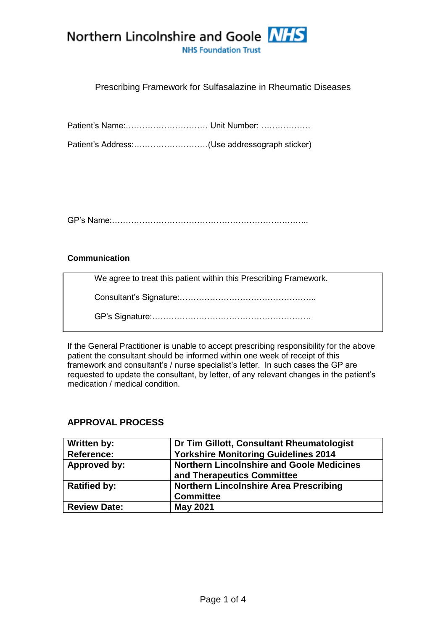

# Prescribing Framework for Sulfasalazine in Rheumatic Diseases

Patient's Name:………………………… Unit Number: ………………

Patient's Address:………………………(Use addressograph sticker)

GP's Name:……………………………………………………….……..

#### **Communication**

We agree to treat this patient within this Prescribing Framework.

Consultant's Signature:…………………………………………..

GP's Signature:………………………………………………….

If the General Practitioner is unable to accept prescribing responsibility for the above patient the consultant should be informed within one week of receipt of this framework and consultant's / nurse specialist's letter. In such cases the GP are requested to update the consultant, by letter, of any relevant changes in the patient's medication / medical condition.

### **APPROVAL PROCESS**

| Written by:         | Dr Tim Gillott, Consultant Rheumatologist        |  |
|---------------------|--------------------------------------------------|--|
| <b>Reference:</b>   | <b>Yorkshire Monitoring Guidelines 2014</b>      |  |
| Approved by:        | <b>Northern Lincolnshire and Goole Medicines</b> |  |
|                     | and Therapeutics Committee                       |  |
| <b>Ratified by:</b> | <b>Northern Lincolnshire Area Prescribing</b>    |  |
|                     | <b>Committee</b>                                 |  |
| <b>Review Date:</b> | <b>May 2021</b>                                  |  |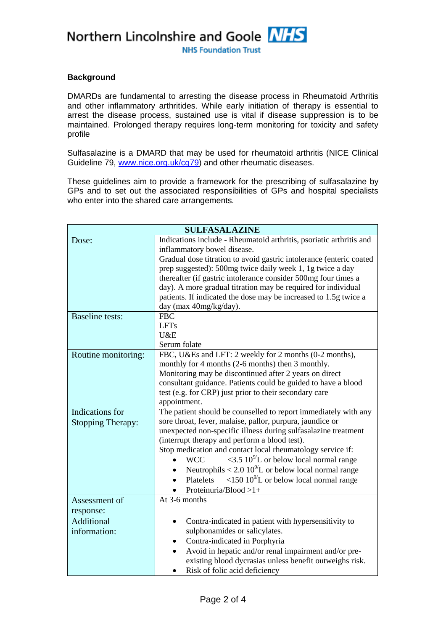Northern Lincolnshire and Goole NHS

**NHS Foundation Trust** 

#### **Background**

DMARDs are fundamental to arresting the disease process in Rheumatoid Arthritis and other inflammatory arthritides. While early initiation of therapy is essential to arrest the disease process, sustained use is vital if disease suppression is to be maintained. Prolonged therapy requires long-term monitoring for toxicity and safety profile

Sulfasalazine is a DMARD that may be used for rheumatoid arthritis (NICE Clinical Guideline 79, [www.nice.org.uk/cg79\)](file:///F:/Users/David/AppData/Local/Microsoft/Windows/Temporary%20Internet%20Files/Content.IE5/WKPKHJB9/www.nice.org.uk/cg79) and other rheumatic diseases.

These guidelines aim to provide a framework for the prescribing of sulfasalazine by GPs and to set out the associated responsibilities of GPs and hospital specialists who enter into the shared care arrangements.

| <b>SULFASALAZINE</b>     |                                                                                                                 |  |  |
|--------------------------|-----------------------------------------------------------------------------------------------------------------|--|--|
| Dose:                    | Indications include - Rheumatoid arthritis, psoriatic arthritis and                                             |  |  |
|                          | inflammatory bowel disease.                                                                                     |  |  |
|                          | Gradual dose titration to avoid gastric intolerance (enteric coated                                             |  |  |
|                          | prep suggested): 500mg twice daily week 1, 1g twice a day                                                       |  |  |
|                          | thereafter (if gastric intolerance consider 500mg four times a                                                  |  |  |
|                          | day). A more gradual titration may be required for individual                                                   |  |  |
|                          | patients. If indicated the dose may be increased to 1.5g twice a                                                |  |  |
|                          | day (max 40mg/kg/day).                                                                                          |  |  |
| <b>Baseline</b> tests:   | <b>FBC</b>                                                                                                      |  |  |
|                          | <b>LFTs</b>                                                                                                     |  |  |
|                          | U&E                                                                                                             |  |  |
|                          | Serum folate                                                                                                    |  |  |
| Routine monitoring:      | FBC, U&Es and LFT: 2 weekly for 2 months (0-2 months),                                                          |  |  |
|                          | monthly for 4 months (2-6 months) then 3 monthly.                                                               |  |  |
|                          | Monitoring may be discontinued after 2 years on direct                                                          |  |  |
|                          | consultant guidance. Patients could be guided to have a blood                                                   |  |  |
|                          | test (e.g. for CRP) just prior to their secondary care                                                          |  |  |
|                          | appointment.                                                                                                    |  |  |
| Indications for          | The patient should be counselled to report immediately with any                                                 |  |  |
| <b>Stopping Therapy:</b> | sore throat, fever, malaise, pallor, purpura, jaundice or                                                       |  |  |
|                          | unexpected non-specific illness during sulfasalazine treatment<br>(interrupt therapy and perform a blood test). |  |  |
|                          | Stop medication and contact local rheumatology service if:                                                      |  |  |
|                          | $\langle 3.5 \, 10^{9}$ L or below local normal range<br><b>WCC</b>                                             |  |  |
|                          | Neutrophils < 2.0 $10^{9}/L$ or below local normal range                                                        |  |  |
|                          | $\langle 150\ 10^{9}$ L or below local normal range<br>Platelets                                                |  |  |
|                          | Proteinuria/Blood $>1+$                                                                                         |  |  |
| Assessment of            | At $3-6$ months                                                                                                 |  |  |
| response:                |                                                                                                                 |  |  |
| Additional               | Contra-indicated in patient with hypersensitivity to                                                            |  |  |
| information:             | sulphonamides or salicylates.                                                                                   |  |  |
|                          | Contra-indicated in Porphyria                                                                                   |  |  |
|                          | Avoid in hepatic and/or renal impairment and/or pre-                                                            |  |  |
|                          | existing blood dycrasias unless benefit outweighs risk.                                                         |  |  |
|                          | Risk of folic acid deficiency<br>$\bullet$                                                                      |  |  |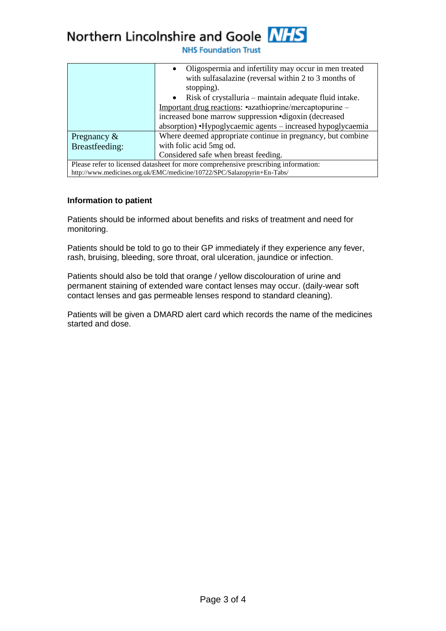# Northern Lincolnshire and Goole NHS

**NHS Foundation Trust** 

|                                                                                    | Oligospermia and infertility may occur in men treated<br>$\bullet$<br>with sulfasalazine (reversal within 2 to 3 months of<br>stopping).<br>• Risk of crystalluria $-$ maintain adequate fluid intake.<br>Important drug reactions: •azathioprine/mercaptopurine –<br>increased bone marrow suppression • digoxin (decreased<br>absorption) •Hypoglycaemic agents – increased hypoglycaemia |  |
|------------------------------------------------------------------------------------|---------------------------------------------------------------------------------------------------------------------------------------------------------------------------------------------------------------------------------------------------------------------------------------------------------------------------------------------------------------------------------------------|--|
| Pregnancy $\&$                                                                     | Where deemed appropriate continue in pregnancy, but combine                                                                                                                                                                                                                                                                                                                                 |  |
| Breastfeeding:                                                                     | with folic acid 5mg od.                                                                                                                                                                                                                                                                                                                                                                     |  |
|                                                                                    | Considered safe when breast feeding.                                                                                                                                                                                                                                                                                                                                                        |  |
| Please refer to licensed datasheet for more comprehensive prescribing information: |                                                                                                                                                                                                                                                                                                                                                                                             |  |
| http://www.medicines.org.uk/EMC/medicine/10722/SPC/Salazopyrin+En-Tabs/            |                                                                                                                                                                                                                                                                                                                                                                                             |  |

#### **Information to patient**

Patients should be informed about benefits and risks of treatment and need for monitoring.

Patients should be told to go to their GP immediately if they experience any fever, rash, bruising, bleeding, sore throat, oral ulceration, jaundice or infection.

Patients should also be told that orange / yellow discolouration of urine and permanent staining of extended ware contact lenses may occur. (daily-wear soft contact lenses and gas permeable lenses respond to standard cleaning).

Patients will be given a DMARD alert card which records the name of the medicines started and dose.